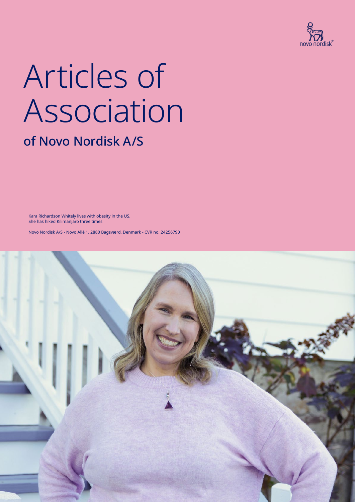

# Articles of Association

### of Novo Nordisk A/S

Kara Richardson Whitely lives with obesity in the US. She has hiked Kilimanjaro three times

Novo Nordisk A/S - Novo Allé 1, 2880 Bagsværd, Denmark - CVR no. 24256790

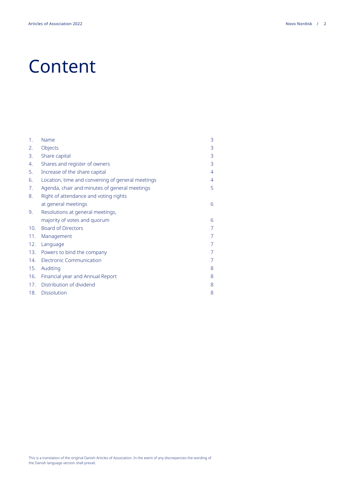### Content

| Name                                             | 3              |
|--------------------------------------------------|----------------|
| Objects                                          | 3              |
| Share capital                                    | 3              |
| Shares and register of owners                    | 3              |
| Increase of the share capital                    | $\overline{4}$ |
| Location, time and convening of general meetings | 4              |
| Agenda, chair and minutes of general meetings    | 5              |
| Right of attendance and voting rights            |                |
| at general meetings                              | 6              |
| Resolutions at general meetings,                 |                |
| majority of votes and quorum                     | 6              |
| <b>Board of Directors</b>                        | $\overline{7}$ |
| Management                                       | 7              |
| Language                                         | 7              |
| 13. Powers to bind the company                   | $\overline{7}$ |
| <b>Electronic Communication</b>                  | 7              |
| Auditing                                         | 8              |
| Financial year and Annual Report                 | 8              |
| Distribution of dividend                         | 8              |
| 18. Dissolution                                  | 8              |
|                                                  |                |

This is a translation of the original Danish Articles of Association. In the event of any discrepancies the wording of the Danish language version shall prevail.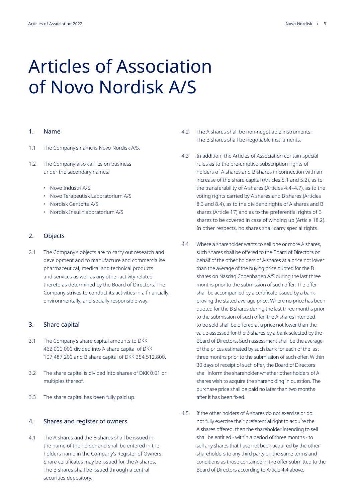## Articles of Association of Novo Nordisk A/S

#### 1. Name

- 1.1 The Company's name is Novo Nordisk A/S.
- 1.2 The Company also carries on business under the secondary names:
	- Novo Industri A/S
	- Novo Terapeutisk Laboratorium A/S
	- Nordisk Gentofte A/S
	- Nordisk Insulinlaboratorium A/S

#### 2. Objects

2.1 The Company's objects are to carry out research and development and to manufacture and commercialise pharmaceutical, medical and technical products and services as well as any other activity related thereto as determined by the Board of Directors. The Company strives to conduct its activities in a financially, environmentally, and socially responsible way.

#### 3. Share capital

- 3.1 The Company's share capital amounts to DKK 462,000,000 divided into A share capital of DKK 107,487,200 and B share capital of DKK 354,512,800.
- 3.2 The share capital is divided into shares of DKK 0.01 or multiples thereof.
- 3.3 The share capital has been fully paid up.

#### 4. Shares and register of owners

4.1 The A shares and the B shares shall be issued in the name of the holder and shall be entered in the holders name in the Company's Register of Owners. Share certificates may be issued for the A shares. The B shares shall be issued through a central securities depository.

- 4.2 The A shares shall be non-negotiable instruments. The B shares shall be negotiable instruments.
- 4.3 In addition, the Articles of Association contain special rules as to the pre-emptive subscription rights of holders of A shares and B shares in connection with an increase of the share capital (Articles 5.1 and 5.2), as to the transferability of A shares (Articles 4.4–4.7), as to the voting rights carried by A shares and B shares (Articles 8.3 and 8.4), as to the dividend rights of A shares and B shares (Article 17) and as to the preferential rights of B shares to be covered in case of winding up (Article 18.2). In other respects, no shares shall carry special rights.
- 4.4 Where a shareholder wants to sell one or more A shares, such shares shall be offered to the Board of Directors on behalf of the other holders of A shares at a price not lower than the average of the buying price quoted for the B shares on Nasdaq Copenhagen A/S during the last three months prior to the submission of such offer. The offer shall be accompanied by a certificate issued by a bank proving the stated average price. Where no price has been quoted for the B shares during the last three months prior to the submission of such offer, the A shares intended to be sold shall be offered at a price not lower than the value assessed for the B shares by a bank selected by the Board of Directors. Such assessment shall be the average of the prices estimated by such bank for each of the last three months prior to the submission of such offer. Within 30 days of receipt of such offer, the Board of Directors shall inform the shareholder whether other holders of A shares wish to acquire the shareholding in question. The purchase price shall be paid no later than two months after it has been fixed.
- 4.5 If the other holders of A shares do not exercise or do not fully exercise their preferential right to acquire the A shares offered, then the shareholder intending to sell shall be entitled - within a period of three months - to sell any shares that have not been acquired by the other shareholders to any third party on the same terms and conditions as those contained in the offer submitted to the Board of Directors according to Article 4.4 above.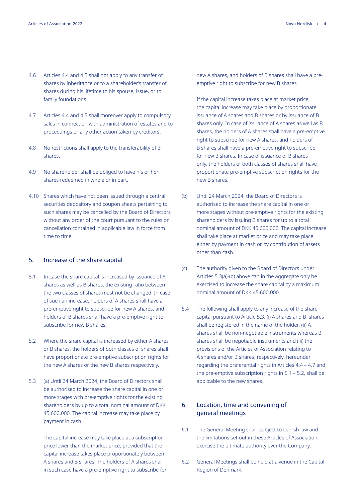- 4.6 Articles 4.4 and 4.5 shall not apply to any transfer of shares by inheritance or to a shareholder's transfer of shares during his lifetime to his spouse, issue, or to family foundations.
- 4.7 Articles 4.4 and 4.5 shall moreover apply to compulsory sales in connection with administration of estates and to proceedings or any other action taken by creditors.
- 4.8 No restrictions shall apply to the transferability of B shares.
- 4.9 No shareholder shall be obliged to have his or her shares redeemed in whole or in part.
- 4.10 Shares which have not been issued through a central securities depository and coupon sheets pertaining to such shares may be cancelled by the Board of Directors without any order of the court pursuant to the rules on cancellation contained in applicable law in force from time to time.

#### 5. Increase of the share capital

- 5.1 In case the share capital is increased by issuance of A shares as well as B shares, the existing ratio between the two classes of shares must not be changed. In case of such an increase, holders of A shares shall have a pre-emptive right to subscribe for new A shares, and holders of B shares shall have a pre-emptive right to subscribe for new B shares.
- 5.2 Where the share capital is increased by either A shares or B shares, the holders of both classes of shares shall have proportionate pre-emptive subscription rights for the new A shares or the new B shares respectively.
- 5.3 (a) Until 24 March 2024, the Board of Directors shall be authorised to increase the share capital in one or more stages with pre-emptive rights for the existing shareholders by up to a total nominal amount of DKK 45,600,000. The capital increase may take place by payment in cash.

The capital increase may take place at a subscription price lower than the market price, provided that the capital increase takes place proportionately between A shares and B shares. The holders of A shares shall in such case have a pre-emptive right to subscribe for If the capital increase takes place at market price, the capital increase may take place by proportionate issuance of A shares and B shares or by issuance of B shares only. In case of issuance of A shares as well as B shares, the holders of A shares shall have a pre-emptive right to subscribe for new A shares, and holders of B shares shall have a pre-emptive right to subscribe for new B shares. In case of issuance of B shares only, the holders of both classes of shares shall have proportionate pre-emptive subscription rights for the new B shares.

- (b) Until 24 March 2024, the Board of Directors is authorised to increase the share capital in one or more stages without pre-emptive rights for the existing shareholders by issuing B shares for up to a total nominal amount of DKK 45,600,000. The capital increase shall take place at market price and may take place either by payment in cash or by contribution of assets other than cash.
- (c) The authority given to the Board of Directors under Articles 5.3(a)-(b) above can in the aggregate only be exercised to increase the share capital by a maximum nominal amount of DKK 45,600,000.
- 5.4 The following shall apply to any increase of the share capital pursuant to Article 5.3: (i) A shares and B shares shall be registered in the name of the holder, (ii) A shares shall be non-negotiable instruments whereas B shares shall be negotiable instruments and (iii) the provisions of the Articles of Association relating to A shares and/or B shares, respectively, hereunder regarding the preferential rights in Articles 4.4 – 4.7 and the pre-emptive subscription rights in 5.1 – 5.2, shall be applicable to the new shares.

#### 6. Location, time and convening of general meetings

- 6.1 The General Meeting shall, subject to Danish law and the limitations set out in these Articles of Association, exercise the ultimate authority over the Company.
- 6.2 General Meetings shall be held at a venue in the Capital Region of Denmark.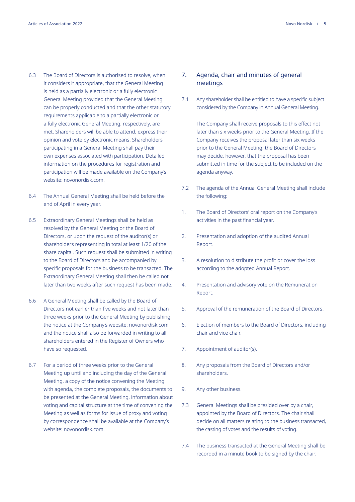- 6.3 The Board of Directors is authorised to resolve, when it considers it appropriate, that the General Meeting is held as a partially electronic or a fully electronic General Meeting provided that the General Meeting can be properly conducted and that the other statutory requirements applicable to a partially electronic or a fully electronic General Meeting, respectively, are met. Shareholders will be able to attend, express their opinion and vote by electronic means. Shareholders participating in a General Meeting shall pay their own expenses associated with participation. Detailed information on the procedures for registration and participation will be made available on the Company's website: novonordisk.com.
- 6.4 The Annual General Meeting shall be held before the end of April in every year.
- 6.5 Extraordinary General Meetings shall be held as resolved by the General Meeting or the Board of Directors, or upon the request of the auditor(s) or shareholders representing in total at least 1/20 of the share capital. Such request shall be submitted in writing to the Board of Directors and be accompanied by specific proposals for the business to be transacted. The Extraordinary General Meeting shall then be called not later than two weeks after such request has been made.
- 6.6 A General Meeting shall be called by the Board of Directors not earlier than five weeks and not later than three weeks prior to the General Meeting by publishing the notice at the Company's website: novonordisk.com and the notice shall also be forwarded in writing to all shareholders entered in the Register of Owners who have so requested.
- 6.7 For a period of three weeks prior to the General Meeting up until and including the day of the General Meeting, a copy of the notice convening the Meeting with agenda, the complete proposals, the documents to be presented at the General Meeting, information about voting and capital structure at the time of convening the Meeting as well as forms for issue of proxy and voting by correspondence shall be available at the Company's website: novonordisk.com.

#### 7. Agenda, chair and minutes of general meetings

7.1 Any shareholder shall be entitled to have a specific subject considered by the Company in Annual General Meeting.

The Company shall receive proposals to this effect not later than six weeks prior to the General Meeting. If the Company receives the proposal later than six weeks prior to the General Meeting, the Board of Directors may decide, however, that the proposal has been submitted in time for the subject to be included on the agenda anyway.

- 7.2 The agenda of the Annual General Meeting shall include the following:
- 1. The Board of Directors' oral report on the Company's activities in the past financial year.
- 2. Presentation and adoption of the audited Annual Report.
- 3. A resolution to distribute the profit or cover the loss according to the adopted Annual Report.
- 4. Presentation and advisory vote on the Remuneration Report.
- 5. Approval of the remuneration of the Board of Directors.
- 6. Election of members to the Board of Directors, including chair and vice chair.
- 7. Appointment of auditor(s).
- 8. Any proposals from the Board of Directors and/or shareholders.
- 9. Any other business.
- 7.3 General Meetings shall be presided over by a chair, appointed by the Board of Directors. The chair shall decide on all matters relating to the business transacted, the casting of votes and the results of voting.
- 7.4 The business transacted at the General Meeting shall be recorded in a minute book to be signed by the chair.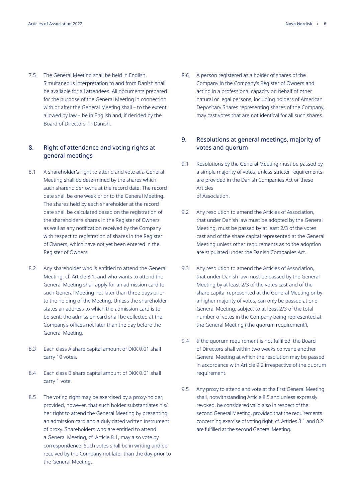7.5 The General Meeting shall be held in English. Simultaneous interpretation to and from Danish shall be available for all attendees. All documents prepared for the purpose of the General Meeting in connection with or after the General Meeting shall – to the extent allowed by law – be in English and, if decided by the Board of Directors, in Danish.

### 8. Right of attendance and voting rights at general meetings

- 8.1 A shareholder's right to attend and vote at a General Meeting shall be determined by the shares which such shareholder owns at the record date. The record date shall be one week prior to the General Meeting. The shares held by each shareholder at the record date shall be calculated based on the registration of the shareholder's shares in the Register of Owners as well as any notification received by the Company with respect to registration of shares in the Register of Owners, which have not yet been entered in the Register of Owners.
- 8.2 Any shareholder who is entitled to attend the General Meeting, cf. Article 8.1, and who wants to attend the General Meeting shall apply for an admission card to such General Meeting not later than three days prior to the holding of the Meeting. Unless the shareholder states an address to which the admission card is to be sent, the admission card shall be collected at the Company's offices not later than the day before the General Meeting.
- 8.3 Each class A share capital amount of DKK 0.01 shall carry 10 votes.
- 8.4 Each class B share capital amount of DKK 0.01 shall carry 1 vote.
- 8.5 The voting right may be exercised by a proxy-holder, provided, however, that such holder substantiates his/ her right to attend the General Meeting by presenting an admission card and a duly dated written instrument of proxy. Shareholders who are entitled to attend a General Meeting, cf. Article 8.1, may also vote by correspondence. Such votes shall be in writing and be received by the Company not later than the day prior to the General Meeting.

8.6 A person registered as a holder of shares of the Company in the Company's Register of Owners and acting in a professional capacity on behalf of other natural or legal persons, including holders of American Depositary Shares representing shares of the Company, may cast votes that are not identical for all such shares.

#### 9. Resolutions at general meetings, majority of votes and quorum

- 9.1 Resolutions by the General Meeting must be passed by a simple majority of votes, unless stricter requirements are provided in the Danish Companies Act or these Articles of Association.
- 9.2 Any resolution to amend the Articles of Association, that under Danish law must be adopted by the General Meeting, must be passed by at least 2/3 of the votes cast and of the share capital represented at the General Meeting unless other requirements as to the adoption are stipulated under the Danish Companies Act.
- 9.3 Any resolution to amend the Articles of Association, that under Danish law must be passed by the General Meeting by at least 2/3 of the votes cast and of the share capital represented at the General Meeting or by a higher majority of votes, can only be passed at one General Meeting, subject to at least 2/3 of the total number of votes in the Company being represented at the General Meeting ('the quorum requirement').
- 9.4 If the quorum requirement is not fulfilled, the Board of Directors shall within two weeks convene another General Meeting at which the resolution may be passed in accordance with Article 9.2 irrespective of the quorum requirement.
- 9.5 Any proxy to attend and vote at the first General Meeting shall, notwithstanding Article 8.5 and unless expressly revoked, be considered valid also in respect of the second General Meeting, provided that the requirements concerning exercise of voting right, cf. Articles 8.1 and 8.2 are fulfilled at the second General Meeting.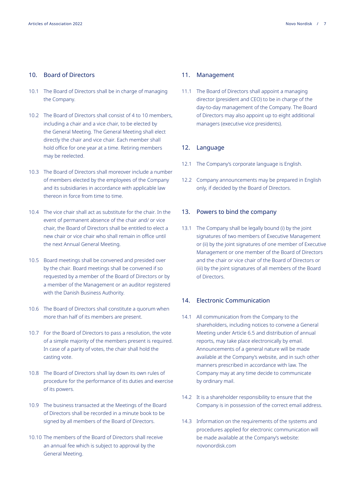#### 10. Board of Directors

- 10.1 The Board of Directors shall be in charge of managing the Company.
- 10.2 The Board of Directors shall consist of 4 to 10 members, including a chair and a vice chair, to be elected by the General Meeting. The General Meeting shall elect directly the chair and vice chair. Each member shall hold office for one year at a time. Retiring members may be reelected.
- 10.3 The Board of Directors shall moreover include a number of members elected by the employees of the Company and its subsidiaries in accordance with applicable law thereon in force from time to time.
- 10.4 The vice chair shall act as substitute for the chair. In the event of permanent absence of the chair and/ or vice chair, the Board of Directors shall be entitled to elect a new chair or vice chair who shall remain in office until the next Annual General Meeting.
- 10.5 Board meetings shall be convened and presided over by the chair. Board meetings shall be convened if so requested by a member of the Board of Directors or by a member of the Management or an auditor registered with the Danish Business Authority.
- 10.6 The Board of Directors shall constitute a quorum when more than half of its members are present.
- 10.7 For the Board of Directors to pass a resolution, the vote of a simple majority of the members present is required. In case of a parity of votes, the chair shall hold the casting vote.
- 10.8 The Board of Directors shall lay down its own rules of procedure for the performance of its duties and exercise of its powers.
- 10.9 The business transacted at the Meetings of the Board of Directors shall be recorded in a minute book to be signed by all members of the Board of Directors.
- 10.10 The members of the Board of Directors shall receive an annual fee which is subject to approval by the General Meeting.

#### 11. Management

11.1 The Board of Directors shall appoint a managing director (president and CEO) to be in charge of the day-to-day management of the Company. The Board of Directors may also appoint up to eight additional managers (executive vice presidents).

#### 12. Language

- 12.1 The Company's corporate language is English.
- 12.2 Company announcements may be prepared in English only, if decided by the Board of Directors.

#### 13. Powers to bind the company

13.1 The Company shall be legally bound (i) by the joint signatures of two members of Executive Management or (ii) by the joint signatures of one member of Executive Management or one member of the Board of Directors and the chair or vice chair of the Board of Directors or (iii) by the joint signatures of all members of the Board of Directors.

#### 14. Electronic Communication

- 14.1 All communication from the Company to the shareholders, including notices to convene a General Meeting under Article 6.5 and distribution of annual reports, may take place electronically by email. Announcements of a general nature will be made available at the Company's website, and in such other manners prescribed in accordance with law. The Company may at any time decide to communicate by ordinary mail.
- 14.2 It is a shareholder responsibility to ensure that the Company is in possession of the correct email address.
- 14.3 Information on the requirements of the systems and procedures applied for electronic communication will be made available at the Company's website: novonordisk.com